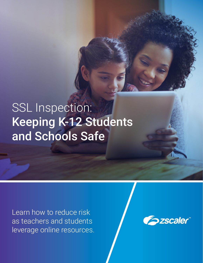# SSL Inspection: Keeping K-12 Students and Schools Safe

Learn how to reduce risk as teachers and students leverage online resources.

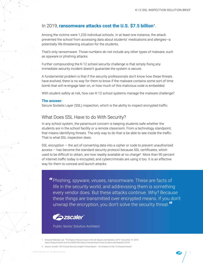## In 2019, **ransomware attacks cost the U.S. \$7.5 billion**<sup>1</sup>.

Among the victims were 1,233 individual schools. In at least one instance, the attack prevented the school from accessing data about students' medications and allergies—a potentially life-threatening situation for the students.

That's only ransomware. Those numbers do not include any other types of malware, such as spyware or phishing attacks.

Further compounding the K-12 school security challenge is that simply fixing any immediate security incident doesn't guarantee the system is secure.

A fundamental problem is that if the security professionals don't know how these threats have evolved, there is no way for them to know if the malware contains some sort of time bomb that will re-engage later on, or how much of this malicious code is embedded.

With student safety at risk, how can K-12 school systems manage the malware challenge?

#### **The answer:**

Secure Sockets Layer (SSL) inspection, which is the ability to inspect encrypted traffic.

## What Does SSL Have to do With Security?

In any school system, the paramount concern is keeping students safe whether the students are in the school facility or a remote classroom. From a technology standpoint, that means identifying threats. The only way to do that is be able to see inside the traffic. That is what SSL inspection does.

SSL encryption — the act of converting data into a cipher or code to prevent unauthorized access — has become the standard security protocol because SSL certificates, which used to be difficult to obtain, are now readily available at no charge<sup>2</sup>. More than 90 percent of internet traffic today is encrypted, and cybercriminals are using it too. It is an effective way for them to conceal and launch attacks.

**"**Phishing, spyware, viruses, ransomware. These are facts of life in the security world, and addrevssing them is something every vendor does. But these attacks continue. Why? Because these things are transmitted over encrypted means. If you don't unwrap the encryption, you don't solve the security threat.**"**



Public Sector Solution Architect

- 1. Emsisoft Malware Lab, "The State of Ransomware in the US: Report and Statistics 2019." December 19. 2019. https://blog.emsisoft.com/en/34822/the-state-of-ransomware-in-the-us-report-and-statistics-2019/
- 2. Source: Zscaler "2019 Cloud Security Insights Threat Report An Analysis of SSL/TLS-based threats."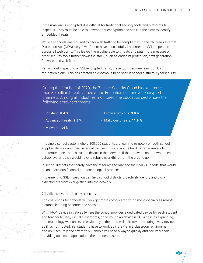If the malware is encrypted, it is difficult for traditional security tools and platforms to inspect it. They must be able to unwrap that encryption and see it in the clear to identify embedded threats.

While all schools are required to filter web traffic to be compliant with the Children's Internet Protection Act (CIPA), very few of them have successfully implemented SSL inspection across all web traffic. This leaves them vulnerable to threats and puts more pressure on other security tools further down the stack, such as endpoint protection, next-generation firewalls, and web filters.

Yet, without inspecting all SSL-encrypted traffic, these tools become reliant on URL reputation alone. This has created an enormous blind spot in school districts' cybersecurity.

During the first half of 2020, the Zscaler Security Cloud blocked more than 80 million threats aimed at the Education sector over encrypted channels. Among all industries monitored, the Education sector saw the following amount of threats:

• Phishing: **8.4 %** 

- Browser exploits: **3.8 %**
- Advanced threats: **2.8 %**
- Malicious threats: **11.9 %**

• Malware: **1.4 %**

Imagine a school system where 200,000 students are learning remotely on both school supplied devices and their personal devices. It would not be hard for ransomware to proliferate once it's on a trusted device in the network. If that malware shut down the entire school system, they would have to rebuild everything from the ground up.

In school districts that hardly have the resources to manage their daily IT needs, that would be an enormous financial and technological problem.

Implementing SSL inspection can help school districts proactively identify and block cyberthreats from ever getting into the network.

## Challenges for the Schools

The challenges for schools will only get more complicated with time, especially as remote, distance learning becomes the norm.

With 1-to-1 device initiatives (where the school provides a dedicated device for each student and teacher to use), virtual classrooms, bring-your-own-device (BYOD) policies expanding, and technology we can't even envision yet, the trend will shift toward treating every device as if it's not trusted. Yet students have to work as if they're in a classroom environment, and do it securely and effectively. Schools will need a way to quickly and securely scale, providing access to applications their students' need.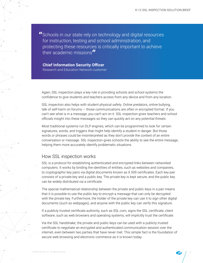**"**Schools in our state rely on technology and digital resources for instruction, testing and school administration, and protecting these resources is critically important to achieve their academic missions**"**

**Chief Information Security Officer** Research and Education Network customer

Again, SSL inspection plays a key role in providing schools and school systems the confidence to give students and teachers access from any device and from any location.

SSL inspection also helps with student physical safety. Online predators, online bullying, talk of self-harm on forums — those communications are often in encrypted format. If you can't see what is in a message, you can't act on it. SSL inspection gives teachers and school officials insight into these messages so they can quickly act on any potential threats.

Most traditional systems run DLP engines, which can be programmed to look for certain signatures, words, and triggers that might help identify a student in danger. But those words or phrases could be misinterpreted as they don't provide the context of an entire conversation or message. SSL inspection gives schools the ability to see the entire message, helping them more accurately identify problematic situations.

## How SSL inspection works

SSL is a protocol for establishing authenticated and encrypted links between networked computers. It works by binding the identities of entities, such as websites and companies, to cryptographic key pairs via digital documents known as X.509 certificates. Each key pair consists of a private key and a public key. The private key is kept secure, and the public key can be widely distributed via a certificate.

The special mathematical relationship between the private and public keys in a pair means that it is possible to use the public key to encrypt a message that can only be decrypted with the private key. Furthermore, the holder of the private key can use it to sign other digital documents (such as webpages), and anyone with the public key can verify this signature.

If a publicly trusted certificate authority, such as SSL.com, signs the SSL certificate, client software, such as web browsers and operating systems, will implicitly trust the certificate.

Via the SSL handshake, the private and public keys can be used with a publicly trusted certificate to negotiate an encrypted and authenticated communication session over the internet, even between two parties that have never met. This simple fact is the foundation of secure web browsing and electronic commerce as it is known today.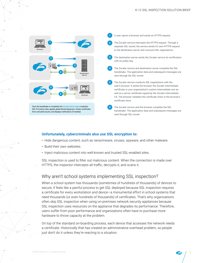

### **Unfortunately, cybercriminals also use SSL encryption to:**

- Hide dangerous content, such as ransomware, viruses, spyware, and other malware.
- Build their own websites.
- Inject malicious content into well-known and trusted SSL-enabled sites.

SSL inspection is used to filter out malicious content. When the connection is made over HTTPS, the inspector intercepts all traffic, decrypts it, and scans it.

## Why aren't school systems implementing SSL inspection?

When a school system has thousands (sometimes of hundreds of thousands) of devices to secure, if feels like a painful process to get SSL deployed because SSL inspection requires a certificate for every workstation and device—a monumental effort in school systems that need thousands (or even hundreds of thousands) of certificates. That's why organizations often skip SSL inspection when using on-premises network security appliances because SSL inspection uses resources on the appliance that degrades its performance. Therefore, users suffer from poor performance and organizations often have to purchase more hardware to throw capacity at the problem.

On top of the standard on-boarding process, each device that accesses the network needs a certificate. Historically that has created an administrative overhead problem, so people just don't do it unless they're reacting to a situation.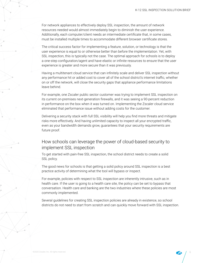For network appliances to effectively deploy SSL inspection, the amount of network resources needed would almost immediately begin to diminish the user experience. Additionally, each computer/client needs an intermediate certificate that, in some cases, must be installed multiple times to accommodate different browser certificate stores.

The critical success factor for implementing a feature, solution, or technology is that the user experience is equal to or otherwise better than before the implementation. Yet, with SSL inspection, this is typically not the case. The optimal approach for schools is to deploy a one-step configuration/agent and have elastic or infinite resources to ensure that the user experience is greater and more secure than it was previously.

Having a multitenant cloud service that can infinitely scale and deliver SSL inspection without any performance hit or added cost to cover all of the school district's internet traffic, whether on or off the network, will close the security gaps that appliance performance limitations leave behind.

For example, one Zscaler public sector customer was trying to implement SSL inspection on its current on-premises next-generation firewalls, and it was seeing a 90-percent reduction in performance on the box when it was turned on. Implementing the Zscaler cloud service eliminated that performance issue without adding costs for the customer.

Delivering a security stack with full SSL visibility will help you find more threats and mitigate risks more effectively. And having unlimited capacity to inspect all your encrypted traffic, even as your bandwidth demands grow, guarantees that your security requirements are future proof.

## How schools can leverage the power of cloud-based security to implement SSL inspection

To get started with pain-free SSL inspection, the school district needs to create a solid SSL policy.

The good news for schools is that getting a solid policy around SSL inspection is a best practice activity of determining what the tool will bypass or inspect.

For example, policies with respect to SSL inspection are inherently intrusive, such as in health care. If the user is going to a health care site, the policy can be set to bypass that conversation. Health care and banking are the two industries where these policies are most commonly implemented.

Several guidelines for creating SSL inspection policies are already in existence, so school districts do not need to start from scratch and can quickly move forward with SSL inspection.